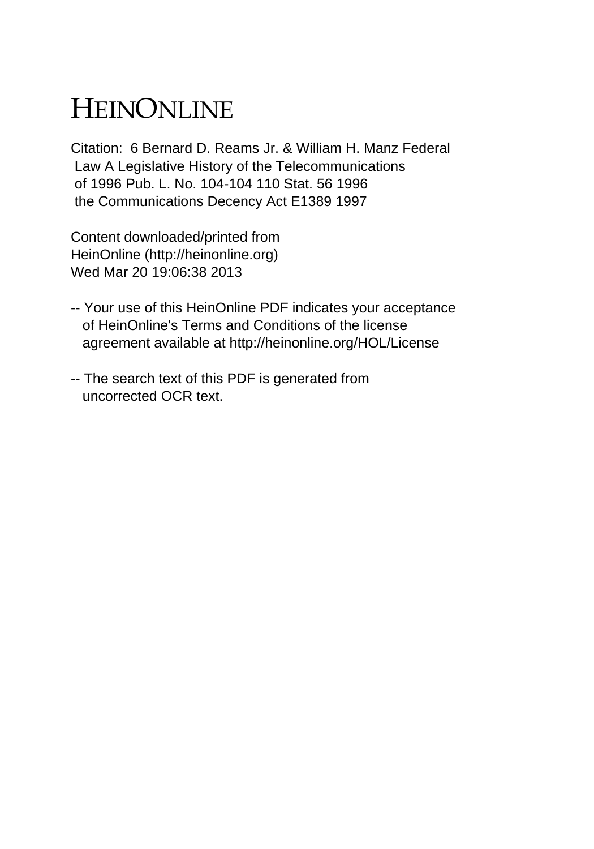# HEINONLINE

Citation: 6 Bernard D. Reams Jr. & William H. Manz Federal Law A Legislative History of the Telecommunications of 1996 Pub. L. No. 104-104 110 Stat. 56 1996 the Communications Decency Act E1389 1997

Content downloaded/printed from HeinOnline (http://heinonline.org) Wed Mar 20 19:06:38 2013

- -- Your use of this HeinOnline PDF indicates your acceptance of HeinOnline's Terms and Conditions of the license agreement available at http://heinonline.org/HOL/License
- -- The search text of this PDF is generated from uncorrected OCR text.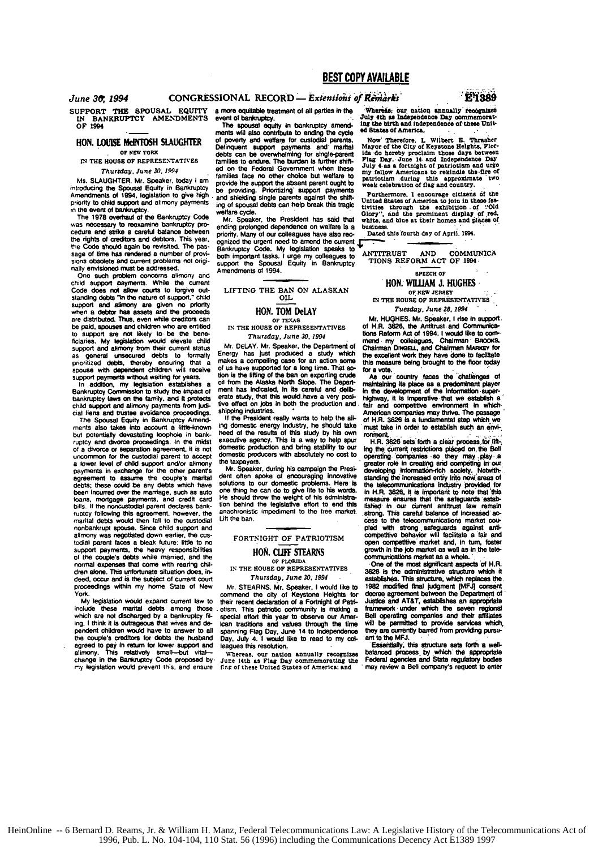SUPPORT **THE SPOUSAL EQUITY IN** BANKRUPTCY **AMENDMENTS** OF 1994

## **HON. LOUISE MCINTOSH SLAUGHTER**

**IN** THE **HOUSE OF REPRESENTATIVES** Thursday, June **30,** 1994

Ms. **SLAUGHTER.** Mr. Speaker. today **I** am introducing **the** Spousal Equity in Bankruptcy Amendments of 1994. legislation to give high. priority to child support and alimony payments in the event of banktuptcy.

The **1978** overhsau of **the** Bankruptcy Code was necessary to reexamine bankruptcy procedure and strike a careful balance between the rights of creditors and debtors. This year. the Code should again be revisited. The passage of time has rendered a number of provisions obsolete and current problems not originally envisioned **must** be addressed.

One such problem concerns alimony and child Support payments. While **the** current Code does **nol** allow courts to forgive outstanding **debts** -in **the** nature of support. child support and **alimony** are given no priority when a debtor has assets and **the** proeeds are distributed. Thus, even while creditors can be paid, **spouses** and childfren who **am** entitled **to** support are not likely to be **the** bene-ficiaries. **My legislation would elevate child** support and alimony from their current status **as** general unsecured debts to formally prioritized debts, thereby ensuring that a spouse with dependent children will receive support payments without waiting for years.

In addition, my legislation establishes a Bankruptcy Commission to study the impact of bankruptcy laws on the family, and it protects child support **and** alimony payments from **jud-**

cial liens and **trustee** avoidance proceedings. The Spousal Equity in Bankruptcy Amendments also takes into account a little-known **but** potentially devastating **loophole** In bank- ruptcy and divorce proceedings. In the midst of a divorce or aeparation agreement. **it** is not uncommon for the custodial parent to accept a lower level of child support andior alimony payments in exchange **for** the other parents agreement to assume the couple's marital debts; these could be any debts which have been Incurred over the marriage. such as auto loans, mortgage payments, and credit card bills. **If** the noncustodial parent declares bank ruptcy following **this** agreement, however, the marital debts would then **fail to** the custodial nonbankrupt spouse. **Since** child support and alimony was negotiated down earlier. **the** custodial parent faces a bleak future: little to no support payments. the heavy responsibilities **of** the couples debts while married, and the normal expenses **that** come with rearing **chil**dren alone. This unfortunate situation does. indeed. **occur** and **is the subject** of current court proceedings within my home State of New **York.**

**My** legislation would expand current law to include these martal debts among those which are not discharged **by** a bankruptcy **fil** ing. **I** think **It** is outrageous that wrves and **de**pendent children would have to answer to all the couple's creditors for debts the **husband** agreed to pay in return for lower support and<br>alimony. This relatively small—but vital—<br>change in the Bankruptcy Code proposed by **m.y** legislation would **prevent** th;s. and ensure

CONGRESSIONAL RECORD - *Extensions of Remarks* 

ments will also contribute to ending the cycle ed States of America,<br>ments will also contribute to ending the cycle ed States of America,<br>of powerty and welfare for custodial parents. Now Therefore, I. of poverty and welfare for custodial **parents.** Now' Therefore. L Wilbert **E.** Thresher Delinquent support payments and marital Mayor of the City of Keystone Helghts, Plor-<br>debts can be overwheiming for single-parent ida do hereby proclaim those days betweet<br>families to endure. The burden is further shift- Pl ed on the Federal Government when these my fallow Americans to particular and urge<br>itamilies face no other choice but welfare to particular the time of provide the fire of<br>provide the support the absent parent ought to wee be providing. Prioritizing support payments and shielding the providing. Prioritizing support payments be providing. Prioritizing support payments and shielding single parents against the shift- United States of America to

ending prolonged dependence on welfare Is a business.<br>priority. Many of our colleagues have also rec- Dated this fourth day of April. 1994.<br>ognized the urgent need to amend the current **in the collection of any of a** Bankruptcy Code. My legislation speaks to "<br>both important tasks. I urge my colleagues to "ANTITRUST" AND COMMUNICA<br>support the Spousal Equity in Bankruptcy "TIONS REFORM ACT OF 1994 **Amendments of 1994.**  $\frac{1}{2}$  **SPEECH OF AMERICAL CONSTRUCT** 

**HON. WILLIAM J. HUGHES.**<br>LIFTING THE BAN ON ALASKAN THE HOUSE OF NEW JESSENTATI

Energy has **just** produced a study which the excellent work **they** have done to facitate makes a complling case **for** an action some **this** measure being brought to **the floor** today of us have supported for a long time. That ac- for a vote, using unought to the hour toway<br>tion is the lifting of the ban on exporting crude As our country faces the challenges of tion is the lifting of the ban on exporting crude<br>of non-the Alaska North Slope. The Depart- maintaining its place as a predominant player<br>ment has indicated, in its careful and delib- in the development of the information

heed of the results of this study by his own roomend.<br>executive agency. This is a way to help spur H.R. 3626 sets forth a clear process for life-<br>domestic production and bring stability to our ing the current restrictions

solutions to our domestic problems. Here is the belocommunications industry provided for<br>one thing he can do to give life to his words. In H.R. 3626, it is important to note that this<br>He should throw the weight of his admi tion behind the legislative effort to end this lished in our current antitrust law remain<br>anachronistic impediment to the free market. strong. This careful balance of increased ac-

IN **THE HOUSE oP REPRESENTATIVES** *3626* Is **the** administratve structure which **It**

their recent declaration of a Fortnight of Patri- Justice and AT&T, establishes an appropriate<br>otism. This patriotic community is making a framework under which the seven regional<br>special effort this year to observe our Am otism. This patriotic community is maing a fratewoek under which **the** seven **regional** special effort this year to observe our Amer-<br>can traditions and values through the time<br>spanning Flag Day, June 14 to Independence **can** traditions and values through the **time** wilt be **pertstd** to Provide **services which.** spanning Flag Day. June 14 to Independence they **are** currently barred from providing pursu-Day, July 4. I would like to read to my colleagues this resolution.

g more equitable treatment of all parties in the Whereas, our nation annually recognized<br>event of bankuptcy,<br>The spousal equity in bankruptcy amend- ing the burth and independence of chees Unit-

and shierding single parents against the shin-<br>ing of spousal debts can help break this tragic tivities shrough the exhibition of "Old<br>welfare cycle.<br>Will Glory", and the aromninent display of red.<br>Mr. Speaker, the Preside

IN THE HOUSE OF REPRESENTATIVES

HON. TOM DeLAY Tuesday, June 28, 1994<br>IN THE HOUSE OF TEXAS<br>IN THE HOUSE OF REPRESENTATIVES OF A HUGHES. Mr. Speaker, it also communica-<br>Thursday, June 30, 1994<br>Mr. DELAY. Mr. Speaker, the Department of Chairman Diwatell,

live effect on jobs in both the production and fair **and** oompeitive erironment In **Whh** shipping industries. American companies may **thrive.** The pasage **If the President really wants to help the all-** American companies may thrive. The passage<br>If the eine step which we are the all-<br>in domestic energy industry. he should take invest the aim are the annual step which were ing domestic energy Industry, he should take must take in order to establish such an **envi-**

the laxpayers.<br>Mr. Speaker, during his campaign the Presi- developing information-rich society. Notwith-<br>Mr. Speaker, during his campaign the Presi- developing information-rich society. Notwith-<br>Jent often spoke of encoura Lift the ban. Cess to the telecommunications market coupled with strong safeguards against anti-<br>FORTNIGHT OF PATRIOTISM competitive behavior will tacilitate a tale and competitive market coupled with strong safeguards aga **HON. CLIFF STEARNS** open competitive market and, in turn, foster<br> **HON. CLIFF STEARNS** growth in the job market as a wilde.

communications market as **a** whole., **OF FLORIDA EOn** of the most aigniflcant aspects of H.R. *Thursday,* June *30. 1994* estashes This Structure, which replaces **th** Mr. **STEARNS.** Mr. Speaker, **I** would like to **1982 Modfied** final judgment **[MFJj** consent decree agreement between the Department of Justice and AT&T, establishes an appropriate

leagues this resolution. Essentially, this structure sets forth a well-<br>balanced process by which the appropriate<br>Federal agencies and State regulatory bodies Whereas. our nation annually recognizes balanced Process by which\* **the** APPrortaf June 14th as **Flag** Day **cormemoratlng** the Federal agencies **and** State regulatory **dies l.Ar of** these United States **of** America; and may review **a Bell** cormpany' request to enter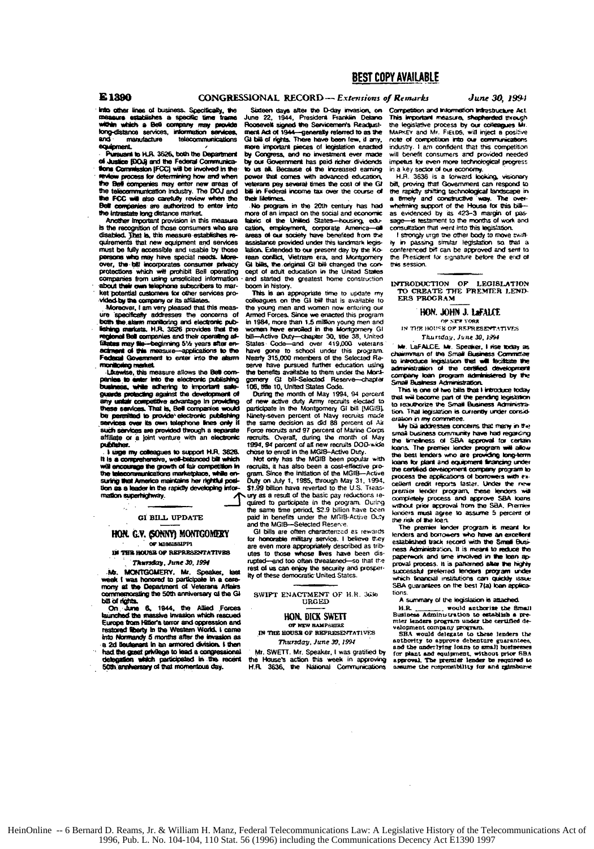E 1390

## CONGRESSIONAL RECORD-- Extensions of Remarks

into other lines of business. Specifically, the within which a Bell company may provide<br>within a Bell company may provide<br>formulation services, information services,<br>and manufacture equipment

Pursuant in H.R. 3626, hoth the December of Justice (DOJ) and the Federal Com **flons Commission IFCCI will be involved in the** w process for determining how and when the Bell companies may enter new areas of the FCC will also carefully review when the Bell companies are authorized to enter into the intrastate long distance market.

Another Important provision in this measure is the recognition of those consumers who are disabled. That is, this measure establishes requirements that new equipment and services must be fully accessible and usable by those persons who may have special needs. More<br>over, the bill incorporates consumer privacy<br>protections which will prohibit Bell operating companies from using unsolicited information<br>about their own telephone subscribers to market botantial customers for other services prod by the company or its affilia

Moreover, I am very pleased that this measure specifically addresses the concerns of both the alarm montioning and electronic pub-<br>lishing markets. H.R. 3526 provides that the lishing in<br>regional f el Bell companies and their operating al-Finders may the integrations are the specialist experiment of this measure-applications to the<br>activened of this measure-applications to the monitoring market.

Likewise, this measure allows the Bell com-. . . ver into the electronic publishing business, while adhering to important sale-<br>guards protecting against the development of any unlair competitive advantage in providing<br>these services. That is, Bell companies would permitted to provide electronic publishing  $bs<sub>n</sub>$ **DOM** such services are provided through a sep affiliate or a loint venture with an electronic publisher.

I use my colleagues to support H.R. 3626. It is a comprehensive, well-belanced bilt which<br>will encourage the growth of fair competition in<br>the telecommunications marketplace, while ensuring that America maintains her rightful position as a leader in the rapidly developing information superhighway.

### GI BILL UPDATE

#### HON. G.V. GONNY) MONTGOMERY OF MISSISSIPPI

**IN THE HOUSE OF REPRESENTATIVES** Thursday, June 30, 1994

MONTGOMERY, Mr. Speaker, last .ivb. week I was honored to participate in a cere-<br>mony at the Department of Veterans Affairs nemorating the 50th anniversary of the GI bill of north.

On June 6, 1944, the Allied Forces Europe from Hitler's terror and oppression and restored liberty in the Western World, I came into Normandy 5 months after the invasion as a 2d lieuterent in an armored division. I then had the great privilege to lea ad a congressional delegation which participated in the recent

Sixteen days after the D-day invasion, on<br>June 22, 1944, President Franklin Delano Roosevelt signed the Servicemen's Readpostment Act of 1944-generally referred to as the<br>Gi bill of rights. There have been few, if any, more important pieces of legislation enacted by Contract and no investment over made by our Government has paid richer dividends to us all. Because of the increased earning power that comes with advanced education rans pay several times the cost of the GI hill in Federal income tax over the course of  $\overline{u}$ letimes.

No program in the 20th century has had more of an impact on the social and economic fabric of the United States-housing, edu cation, employment, corporate America all areas of our society have benefited from the assistance provided under this landmark legislation. Extended to our present day by the Korean conflict, Vietnam era, and Montgomery<br>Gi bills, the original GI bill changed the concept of adult education in the United Sta and started the greatest home construction boom in history.

This is an appropriate time to update rm colleagues on the GI bill that is available to the young men and women now entering our Armed Forces. Since we enacted this program in 1984, more than 1.5 million young men and<br>women have enrolled in the Montgomery GI bill-Active Duty-chapter 30, title 38, United<br>States Code-and over 419,000 veterans have gone to school under this program.<br>Nearly 315,000 members of the Selected Reserve have pursued further education using the henefits available to them under the Mock gomery Gt bill-Selected Res Reserve-chapter

During the month of May 1994, 94 percent of new active duty Army recruits elected to<br>participate in the Montgomery GI bill [MGIS]. Ninety-seven percent of Navy recruits made<br>the same decision as did 88 percent of Air Force recruits and 97 percent of Marine Corps recruits. Overall, during the month of May<br>1994, 94 percent of all new recruits DOD-wide chose to enroll in the MGIB-Active Duty.

Not only has the MGIB been popular with recruits, it has also been a cost-effective program. Since the initiation of the MGIB-Active<br>Duty on July 1, 1985, through May 31, 1994, \$1.99 billion have reverted to the U.S. Treas ury as a result of the basic pay reductions remired to participate in the program. Ouring the same time period, \$2.9 billion have been paid in benefits under the MGIB-Active Duty<br>and the MGIB-Selected Reserve.

GI bills are often characterized as rewards for honorable military service. I believe they are even more appropriately described as trib utes to those whose lives have been disand too often threatened so that the rupted rest of us can enjoy the security and prosperity of these democratic United States.

SWIPT ENACTMENT OF H.R. 3636 URGED

#### HON, DICK SWETT OF NEW HAMPSHIRE

IN THE HOUSE OF REPRESENTATIVES Thursday, June 30, 1994

Mr. SWETT. Mr. Speaker, I was gratified by the House's action this week in approving<br>H.R. 3636, the National Communications

Competition and Information Infrastructure Act This important measure, shephended through e legislative process by our colleagues h MARKEY and Mr. FIELDS, will inject a positive<br>note of competition into our communications industry. I am confident that this competition will benefit consumers and provided needed impetus for even more technological progress in a key sector of our economy.<br>H.R. 3636 is a forward looking, visionary

June 30, 1994

bill, proving that Government can respond to the rapidly shifting technological landscape in a timely and constructive way. The overwhelming support of the House for this billas evidenced by its 423-3 margin of pasis testament to the months of work .<br>and age consultation that went into this legislation.

I strongly urge the other body to move swifthy in passing similar legislation so that a<br>conferenced biff can be approved and sent to the President for signature before the end of this session.

INTRODUCTION OF LEGISLATION<br>TO CREATE THE PREMIER LENDERS PROGRAM

### HON. JOHN J. LaFALCE

OP SEX YORK IN THE HOUSE OF REFRESENTATIVES Thursday, June 30, 1994

Mr. LaFALCE. Mr. Speaker, I rise today as chairmman of the Small Business Comm to introduce legislation that will facilitate the company loan program administered by the<br>Small Business Administration.

This is one of two bills that I introduce today that will become part of the pending legislation to reauthorize the Small Business Administration. That legislation is currently under consideration in my committee.

My biji addresses concerns that many in the mail business community have had regarding the timeliness of SBA ennoual for certain loans. The premier lender program will allow the best lenders who are providing long-term loans for plant and equipment financing under the certified development company program to process the applications of borrowers w ath excellent credit reports laster. Under the nepremier lender program, these lenders will completely process and approve SBA loans without orior accrowal from the SBA. Premier lenders must agree to assume 5 percent of the risk of the loan.

The premier lender program is meant for lenders and borrowers who have an excellent established track record with the Small Business Administration, It is meant to reduce the nanetwork and time immused in the loan anproval process. It is patterned after the highly successful preferred tenders program unde vhich financial institutions can quickly issue SBA guarantees on the best 7(a) loan applications

## A summary of the legislation is attached.

H.R. would authorize the Small<br>Business Administration to establish a pre-<br>mier lenders program under the certified de-

senses program ancient company program.<br>
SBA would delegate to these lenders the<br>
authority to approve debenture guarantees,<br>
and the underlying loans to amall businesses for plant and equipment, without prior SBA approval. The premier lender be required to assume the remonstbility for and reimburse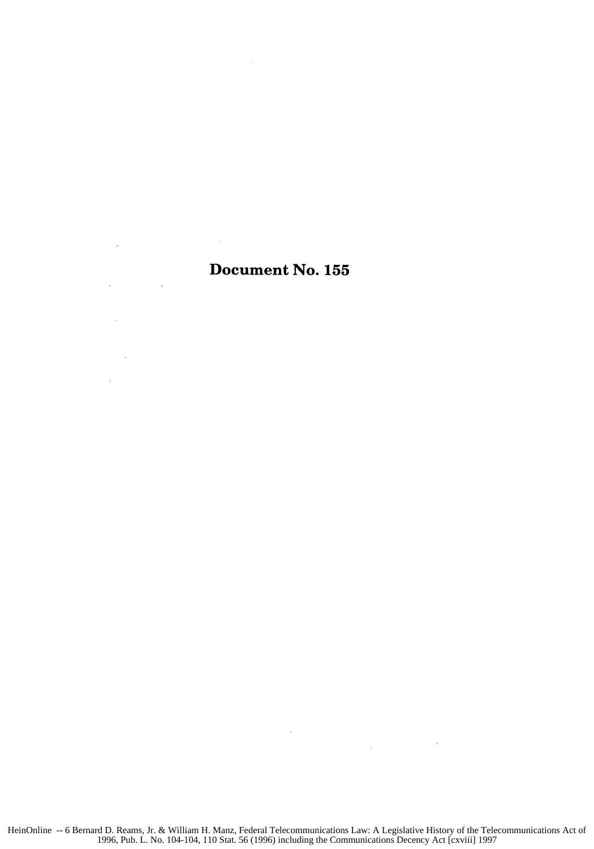## Document No. **155**

 $\sim$   $\sim$ 

 $\sim$ 

 $\mathcal{L}_{\rm{max}}$ 

 $\mathbb{R}^2$ 

 $\sim 10^{-11}$ 

 $\label{eq:2} \frac{1}{\sqrt{2}}\int_{\mathbb{R}^3}\frac{1}{\sqrt{2}}\left(\frac{1}{\sqrt{2}}\right)^2\frac{1}{\sqrt{2}}\left(\frac{1}{\sqrt{2}}\right)^2\frac{1}{\sqrt{2}}\left(\frac{1}{\sqrt{2}}\right)^2.$ 

 $\sim 400$